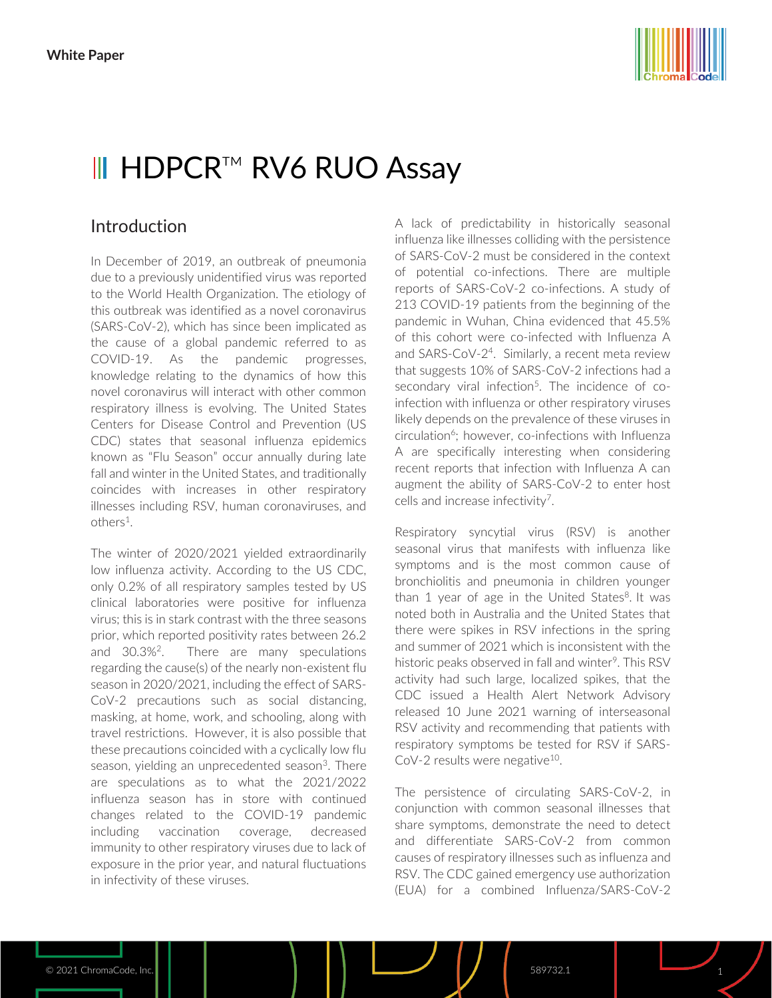

# III HDPCR™ RV6 RUO Assay

# Introduction

In December of 2019, an outbreak of pneumonia due to a previously unidentified virus was reported to the World Health Organization. The etiology of this outbreak was identified as a novel coronavirus (SARS-CoV-2), which has since been implicated as the cause of a global pandemic referred to as COVID-19. As the pandemic progresses, knowledge relating to the dynamics of how this novel coronavirus will interact with other common respiratory illness is evolving. The United States Centers for Disease Control and Prevention (US CDC) states that seasonal influenza epidemics known as "Flu Season" occur annually during late fall and winter in the United States, and traditionally coincides with increases in other respiratory illnesses including RSV, human coronaviruses, and others<sup>1</sup>.

The winter of 2020/2021 yielded extraordinarily low influenza activity. According to the US CDC, only 0.2% of all respiratory samples tested by US clinical laboratories were positive for influenza virus; this is in stark contrast with the three seasons prior, which reported positivity rates between 26.2 and 30.3%<sup>2</sup>. There are many speculations regarding the cause(s) of the nearly non-existent flu season in 2020/2021, including the effect of SARS-CoV-2 precautions such as social distancing, masking, at home, work, and schooling, along with travel restrictions. However, it is also possible that these precautions coincided with a cyclically low flu season, yielding an unprecedented season<sup>3</sup>. There are speculations as to what the 2021/2022 influenza season has in store with continued changes related to the COVID-19 pandemic including vaccination coverage, decreased immunity to other respiratory viruses due to lack of exposure in the prior year, and natural fluctuations in infectivity of these viruses.

A lack of predictability in historically seasonal influenza like illnesses colliding with the persistence of SARS-CoV-2 must be considered in the context of potential co-infections. There are multiple reports of SARS-CoV-2 co-infections. A study of 213 COVID-19 patients from the beginning of the pandemic in Wuhan, China evidenced that 45.5% of this cohort were co-infected with Influenza A and SARS-CoV-2<sup>4</sup>. Similarly, a recent meta review that suggests 10% of SARS-CoV-2 infections had a secondary viral infection<sup>5</sup>. The incidence of coinfection with influenza or other respiratory viruses likely depends on the prevalence of these viruses in circulation<sup>6</sup>; however, co-infections with Influenza A are specifically interesting when considering recent reports that infection with Influenza A can augment the ability of SARS-CoV-2 to enter host cells and increase infectivity<sup>7</sup>.

Respiratory syncytial virus (RSV) is another seasonal virus that manifests with influenza like symptoms and is the most common cause of bronchiolitis and pneumonia in children younger than 1 year of age in the United States<sup>8</sup>. It was noted both in Australia and the United States that there were spikes in RSV infections in the spring and summer of 2021 which is inconsistent with the historic peaks observed in fall and winter<sup>9</sup>. This RSV activity had such large, localized spikes, that the CDC issued a Health Alert Network Advisory released 10 June 2021 warning of interseasonal RSV activity and recommending that patients with respiratory symptoms be tested for RSV if SARS-CoV-2 results were negative<sup>10</sup>.

The persistence of circulating SARS-CoV-2, in conjunction with common seasonal illnesses that share symptoms, demonstrate the need to detect and differentiate SARS-CoV-2 from common causes of respiratory illnesses such as influenza and RSV. The CDC gained emergency use authorization (EUA) for a combined Influenza/SARS-CoV-2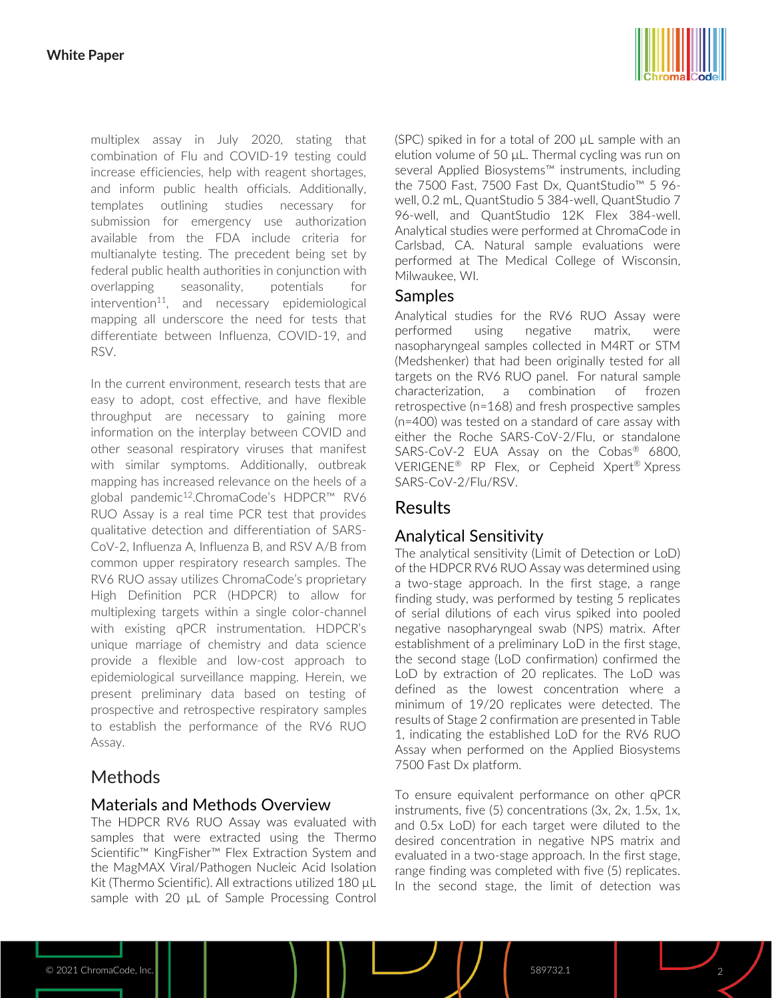

multiplex assay in July 2020, stating that combination of Flu and COVID-19 testing could increase efficiencies, help with reagent shortages, and inform public health officials. Additionally, templates outlining studies necessary for submission for emergency use authorization available from the FDA include criteria for multianalyte testing. The precedent being set by federal public health authorities in conjunction with overlapping seasonality, potentials for intervention 11 , and necessary epidemiological mapping all underscore the need for tests that differentiate between Influenza, COVID-19, and RSV.

In the current environment, research tests that are easy to adopt, cost effective, and have flexible throughput are necessary to gaining more information on the interplay between COVID and other seasonal respiratory viruses that manifest with similar symptoms. Additionally, outbreak mapping has increased relevance on the heels of a global pandemic<sup>12</sup>.ChromaCode's HDPCR™ RV6 RUO Assay is a real time PCR test that provides qualitative detection and differentiation of SARS-CoV-2, Influenza A, Influenza B, and RSV A/B from common upper respiratory research samples. The RV6 RUO assay utilizes ChromaCode's proprietary High Definition PCR (HDPCR) to allow for multiplexing targets within a single color-channel with existing qPCR instrumentation. HDPCR's unique marriage of chemistry and data science provide a flexible and low-cost approach to epidemiological surveillance mapping. Herein, we present preliminary data based on testing of prospective and retrospective respiratory samples to establish the performance of the RV6 RUO Assay.

# **Methods**

## Materials and Methods Overview

The HDPCR RV6 RUO Assay was evaluated with samples that were extracted using the Thermo Scientific™ KingFisher™ Flex Extraction System and the MagMAX Viral/Pathogen Nucleic Acid Isolation Kit (Thermo Scientific). All extractions utilized 180 µL sample with 20  $\mu$ L of Sample Processing Control (SPC) spiked in for a total of 200 µL sample with an elution volume of 50 µL. Thermal cycling was run on several Applied Biosystems™ instruments, including the 7500 Fast, 7500 Fast Dx, QuantStudio™ 5 96 well, 0.2 mL, QuantStudio 5 384-well, QuantStudio 7 96-well, and QuantStudio 12K Flex 384-well. Analytical studies were performed at ChromaCode in Carlsbad, CA. Natural sample evaluations were performed at The Medical College of Wisconsin, Milwaukee, WI.

## Samples

Analytical studies for the RV6 RUO Assay were performed using negative matrix, were nasopharyngeal samples collected in M4RT or STM (Medshenker) that had been originally tested for all targets on the RV6 RUO panel. For natural sample characterization, a combination of frozen retrospective (n=168) and fresh prospective samples (n=400) was tested on a standard of care assay with either the Roche SARS-CoV-2/Flu, or standalone SARS-CoV-2 EUA Assay on the Cobas<sup>®</sup> 6800, VERIGENE® RP Flex, or Cepheid Xpert® Xpress SARS-CoV-2/Flu/RSV.

# Results

# Analytical Sensitivity

The analytical sensitivity (Limit of Detection or LoD) of the HDPCR RV6 RUO Assay was determined using a two-stage approach. In the first stage, a range finding study, was performed by testing 5 replicates of serial dilutions of each virus spiked into pooled negative nasopharyngeal swab (NPS) matrix. After establishment of a preliminary LoD in the first stage, the second stage (LoD confirmation) confirmed the LoD by extraction of 20 replicates. The LoD was defined as the lowest concentration where a minimum of 19/20 replicates were detected. The results of Stage 2 confirmation are presented in Table 1, indicating the established LoD for the RV6 RUO Assay when performed on the Applied Biosystems 7500 Fast Dx platform.

To ensure equivalent performance on other qPCR instruments, five (5) concentrations (3x, 2x, 1.5x, 1x, and 0.5x LoD) for each target were diluted to the desired concentration in negative NPS matrix and evaluated in a two-stage approach. In the first stage, range finding was completed with five (5) replicates. In the second stage, the limit of detection was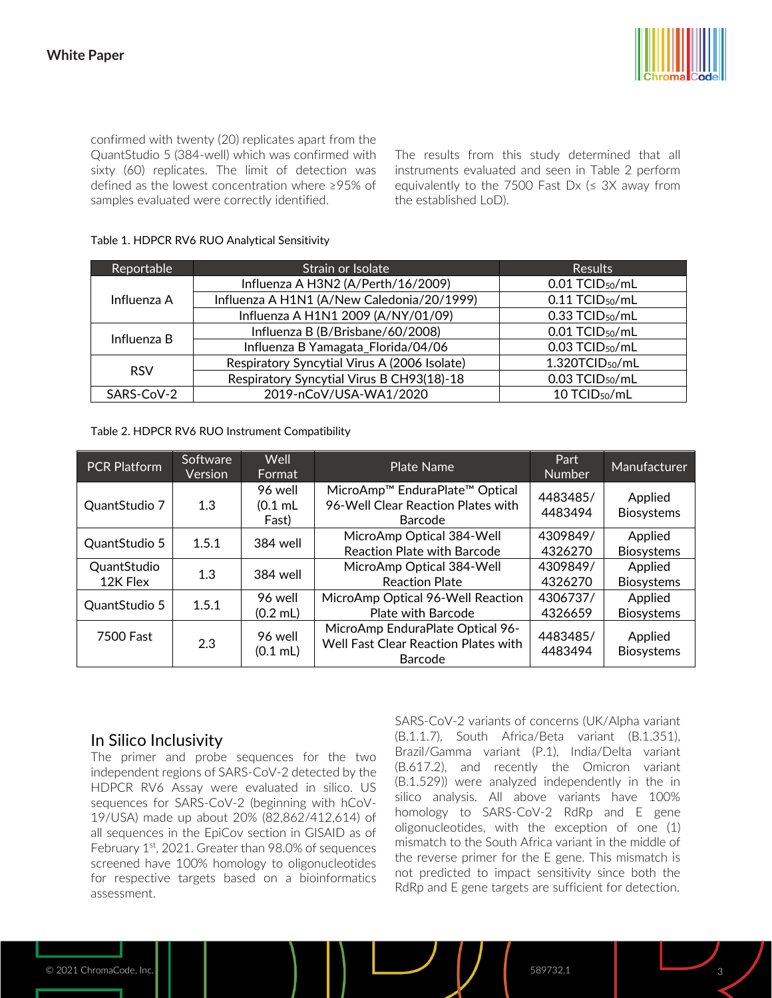

confirmed with twenty (20) replicates apart from the QuantStudio 5 (384-well) which was confirmed with sixty (60) replicates. The limit of detection was defined as the lowest concentration where ≥95% of samples evaluated were correctly identified.

The results from this study determined that all instruments evaluated and seen in Table 2 perform equivalently to the 7500 Fast Dx ( $\leq$  3X away from the established LoD).

| Reportable  | Strain or Isolate                            | <b>Results</b>                |  |  |
|-------------|----------------------------------------------|-------------------------------|--|--|
| Influenza A | Influenza A H3N2 (A/Perth/16/2009)           | 0.01 TCID <sub>50</sub> /mL   |  |  |
|             | Influenza A H1N1 (A/New Caledonia/20/1999)   | $0.11$ TCID <sub>50</sub> /mL |  |  |
|             | Influenza A H1N1 2009 (A/NY/01/09)           | 0.33 TCID <sub>50</sub> /mL   |  |  |
| Influenza B | Influenza B (B/Brisbane/60/2008)             | 0.01 TCID <sub>50</sub> /mL   |  |  |
|             | Influenza B Yamagata_Florida/04/06           | $0.03$ TCID <sub>50</sub> /mL |  |  |
| <b>RSV</b>  | Respiratory Syncytial Virus A (2006 Isolate) | 1.320TCID <sub>50</sub> /mL   |  |  |
|             | Respiratory Syncytial Virus B CH93(18)-18    | 0.03 TCID <sub>50</sub> /mL   |  |  |
| SARS-CoV-2  | 2019-nCoV/USA-WA1/2020                       | 10 TCID <sub>50</sub> /mL     |  |  |

#### Table 1. HDPCR RV6 RUO Analytical Sensitivity

Table 2. HDPCR RV6 RUO Instrument Compatibility

| <b>PCR Platform</b>     | Software<br>Version | Well<br>Format                | <b>Plate Name</b>                                                                                       | Part<br><b>Number</b> | Manufacturer                 |
|-------------------------|---------------------|-------------------------------|---------------------------------------------------------------------------------------------------------|-----------------------|------------------------------|
| QuantStudio 7           | 1.3                 | 96 well<br>$(0.1$ mL<br>Fast) | MicroAmp <sup>™</sup> EnduraPlate <sup>™</sup> Optical<br>96-Well Clear Reaction Plates with<br>Barcode | 4483485/<br>4483494   | Applied<br><b>Biosystems</b> |
| QuantStudio 5           | 1.5.1               | 384 well                      | MicroAmp Optical 384-Well<br><b>Reaction Plate with Barcode</b>                                         | 4309849/<br>4326270   | Applied<br><b>Biosystems</b> |
| QuantStudio<br>12K Flex | 1.3                 | 384 well                      | MicroAmp Optical 384-Well<br><b>Reaction Plate</b>                                                      | 4309849/<br>4326270   | Applied<br><b>Biosystems</b> |
| QuantStudio 5           | 1.5.1               | 96 well<br>$(0.2$ mL)         | MicroAmp Optical 96-Well Reaction<br><b>Plate with Barcode</b>                                          | 4306737/<br>4326659   | Applied<br><b>Biosystems</b> |
| 7500 Fast               | 2.3                 | 96 well<br>$(0.1$ mL)         | MicroAmp EnduraPlate Optical 96-<br>Well Fast Clear Reaction Plates with<br>Barcode                     | 4483485/<br>4483494   | Applied<br><b>Biosystems</b> |

## In Silico Inclusivity

The primer and probe sequences for the two independent regions of SARS-CoV-2 detected by the HDPCR RV6 Assay were evaluated in silico. US sequences for SARS-CoV-2 (beginning with hCoV-19/USA) made up about 20% (82,862/412,614) of all sequences in the EpiCov section in GISAID as of February 1<sup>st</sup>, 2021. Greater than 98.0% of sequences screened have 100% homology to oligonucleotides for respective targets based on a bioinformatics assessment.

SARS-CoV-2 variants of concerns (UK/Alpha variant (B.1.1.7), South Africa/Beta variant (B.1.351), Brazil/Gamma variant (P.1), India/Delta variant (B.617.2), and recently the Omicron variant (B.1.529)) were analyzed independently in the in silico analysis. All above variants have 100% homology to SARS-CoV-2 RdRp and E gene oligonucleotides, with the exception of one (1) mismatch to the South Africa variant in the middle of the reverse primer for the E gene. This mismatch is not predicted to impact sensitivity since both the RdRp and E gene targets are sufficient for detection.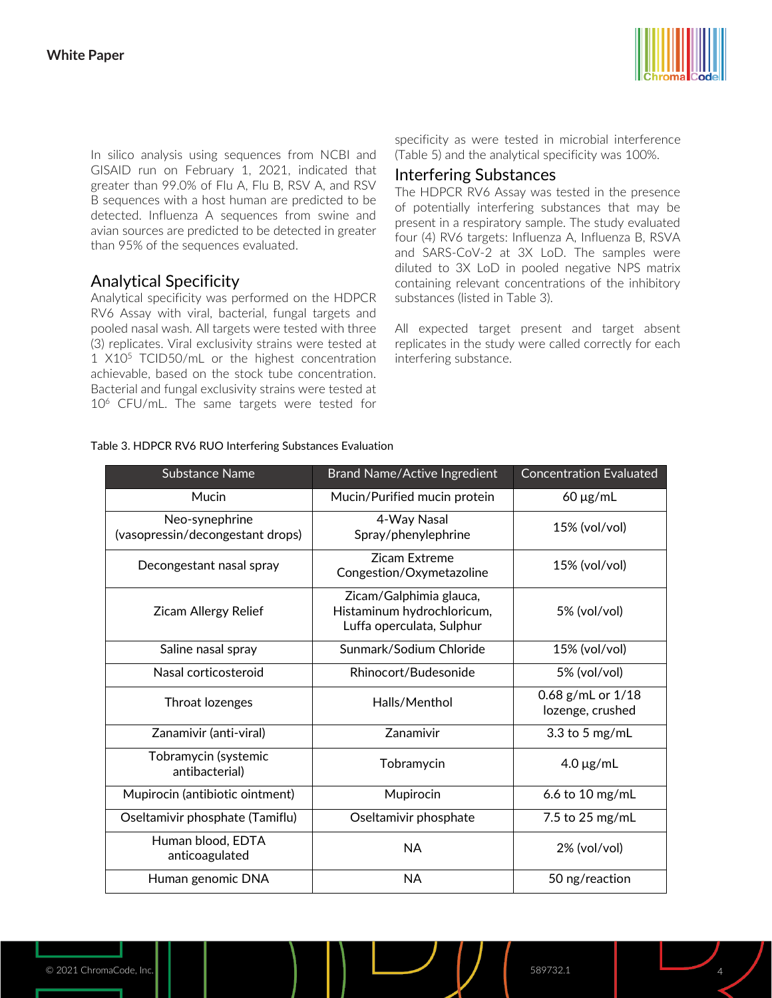

In silico analysis using sequences from NCBI and GISAID run on February 1, 2021, indicated that greater than 99.0% of Flu A, Flu B, RSV A, and RSV B sequences with a host human are predicted to be detected. Influenza A sequences from swine and avian sources are predicted to be detected in greater than 95% of the sequences evaluated.

## Analytical Specificity

Analytical specificity was performed on the HDPCR RV6 Assay with viral, bacterial, fungal targets and pooled nasal wash. All targets were tested with three (3) replicates. Viral exclusivity strains were tested at 1 X10<sup>5</sup> TCID50/mL or the highest concentration achievable, based on the stock tube concentration. Bacterial and fungal exclusivity strains were tested at 10<sup>6</sup> CFU/mL. The same targets were tested for specificity as were tested in microbial interference (Table 5) and the analytical specificity was 100%.

### Interfering Substances

The HDPCR RV6 Assay was tested in the presence of potentially interfering substances that may be present in a respiratory sample. The study evaluated four (4) RV6 targets: Influenza A, Influenza B, RSVA and SARS-CoV-2 at 3X LoD. The samples were diluted to 3X LoD in pooled negative NPS matrix containing relevant concentrations of the inhibitory substances (listed in Table 3).

All expected target present and target absent replicates in the study were called correctly for each interfering substance.

| <b>Substance Name</b>                              | <b>Brand Name/Active Ingredient</b>                                                | <b>Concentration Evaluated</b>        |  |
|----------------------------------------------------|------------------------------------------------------------------------------------|---------------------------------------|--|
| Mucin                                              | Mucin/Purified mucin protein                                                       | $60 \mu g/mL$                         |  |
| Neo-synephrine<br>(vasopressin/decongestant drops) | 4-Way Nasal<br>Spray/phenylephrine                                                 | 15% (vol/vol)                         |  |
| Decongestant nasal spray                           | <b>Zicam Extreme</b><br>Congestion/Oxymetazoline                                   | 15% (vol/vol)                         |  |
| <b>Zicam Allergy Relief</b>                        | Zicam/Galphimia glauca,<br>Histaminum hydrochloricum,<br>Luffa operculata, Sulphur | 5% (vol/vol)                          |  |
| Saline nasal spray                                 | Sunmark/Sodium Chloride                                                            | 15% (vol/vol)                         |  |
| Nasal corticosteroid                               | Rhinocort/Budesonide                                                               | 5% (vol/vol)                          |  |
| Throat lozenges                                    | Halls/Menthol                                                                      | 0.68 g/mL or 1/18<br>lozenge, crushed |  |
| Zanamivir (anti-viral)                             | Zanamivir                                                                          | 3.3 to 5 $mg/mL$                      |  |
| Tobramycin (systemic<br>antibacterial)             | Tobramycin                                                                         | $4.0 \mu g/mL$                        |  |
| Mupirocin (antibiotic ointment)                    | Mupirocin                                                                          | 6.6 to 10 mg/mL                       |  |
| Oseltamivir phosphate (Tamiflu)                    | Oseltamivir phosphate                                                              | 7.5 to 25 mg/mL                       |  |
| Human blood, EDTA<br>anticoagulated                | <b>NA</b>                                                                          | 2% (vol/vol)                          |  |
| Human genomic DNA                                  | <b>NA</b>                                                                          | 50 ng/reaction                        |  |

#### Table 3. HDPCR RV6 RUO Interfering Substances Evaluation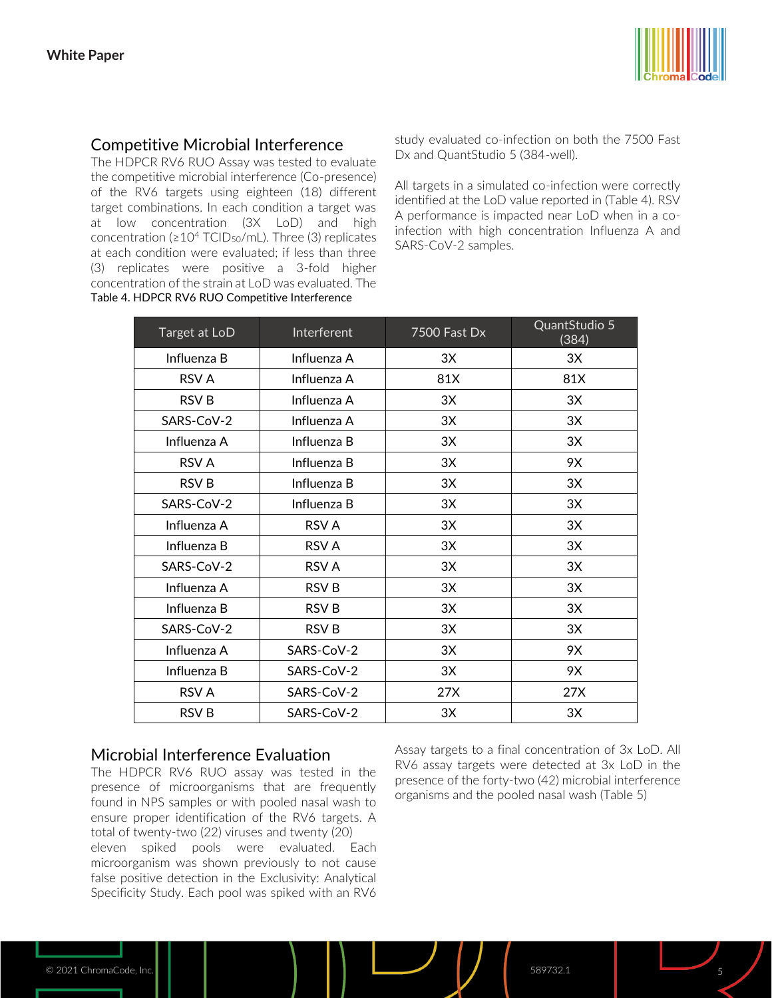

# Competitive Microbial Interference

The HDPCR RV6 RUO Assay was tested to evaluate the competitive microbial interference (Co-presence) of the RV6 targets using eighteen (18) different target combinations. In each condition a target was at low concentration (3X LoD) and high concentration ( $\geq 10^4$  TCID<sub>50</sub>/mL). Three (3) replicates at each condition were evaluated; if less than three (3) replicates were positive a 3-fold higher concentration of the strain at LoD was evaluated. The Table 4. HDPCR RV6 RUO Competitive Interference

study evaluated co-infection on both the 7500 Fast Dx and QuantStudio 5 (384-well).

All targets in a simulated co-infection were correctly identified at the LoD value reported in (Table 4). RSV A performance is impacted near LoD when in a coinfection with high concentration Influenza A and SARS-CoV-2 samples.

| Target at LoD | Interferent      | 7500 Fast Dx | QuantStudio 5<br>(384) |
|---------------|------------------|--------------|------------------------|
| Influenza B   | Influenza A      | 3X           | 3X                     |
| RSV A         | Influenza A      | 81X          | 81X                    |
| <b>RSVB</b>   | Influenza A      | 3X           | 3X                     |
| SARS-CoV-2    | Influenza A      | 3X           | 3X                     |
| Influenza A   | Influenza B      | 3X           | 3X                     |
| RSV A         | Influenza B      | 3X           | 9X                     |
| RSV B         | Influenza B      | 3X           | 3X                     |
| SARS-CoV-2    | Influenza B      | 3X           | 3X                     |
| Influenza A   | RSV A            | 3X           | 3X                     |
| Influenza B   | <b>RSV A</b>     | 3X           | 3X                     |
| SARS-CoV-2    | <b>RSV A</b>     | 3X           | 3X                     |
| Influenza A   | RSV <sub>B</sub> | 3X           | 3X                     |
| Influenza B   | <b>RSVB</b>      | 3X           | 3X                     |
| SARS-CoV-2    | RSV B            | 3X           | 3X                     |
| Influenza A   | SARS-CoV-2       | 3X           | 9X                     |
| Influenza B   | SARS-CoV-2       | 3X           | 9X                     |
| RSV A         | SARS-CoV-2       | 27X          | 27X                    |
| <b>RSV B</b>  | SARS-CoV-2       | 3X           | 3X                     |

### Microbial Interference Evaluation

The HDPCR RV6 RUO assay was tested in the presence of microorganisms that are frequently found in NPS samples or with pooled nasal wash to ensure proper identification of the RV6 targets. A total of twenty-two (22) viruses and twenty (20) eleven spiked pools were evaluated. Each microorganism was shown previously to not cause false positive detection in the Exclusivity: Analytical Specificity Study. Each pool was spiked with an RV6 Assay targets to a final concentration of 3x LoD. All RV6 assay targets were detected at 3x LoD in the presence of the forty-two (42) microbial interference organisms and the pooled nasal wash (Table 5)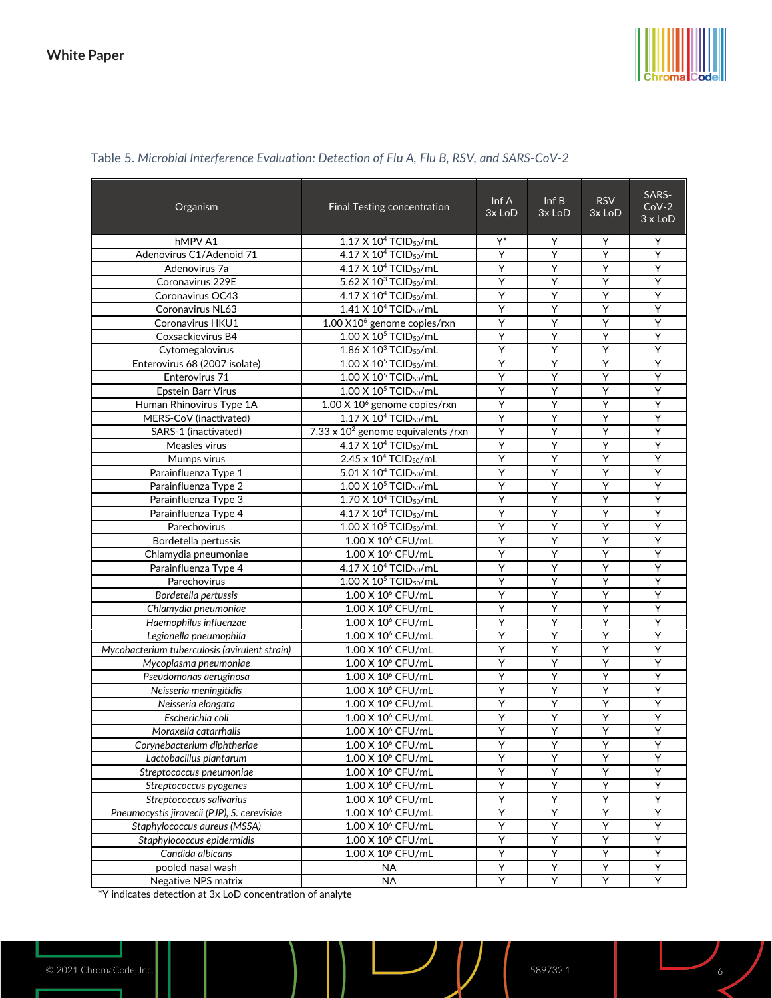

| Organism                                      | Final Testing concentration                   | Inf A<br>3x LoD | Inf B<br>3x LoD | <b>RSV</b><br>3x LoD | SARS-<br>$Cov-2$<br>$3 \times$ LoD |
|-----------------------------------------------|-----------------------------------------------|-----------------|-----------------|----------------------|------------------------------------|
| hMPV A1                                       | 1.17 X 10 <sup>4</sup> TCID <sub>50</sub> /mL | Y*              | Y               | Y                    | Υ                                  |
| Adenovirus C1/Adenoid 71                      | 4.17 X 10 <sup>4</sup> TCID <sub>50</sub> /mL | Y               | Υ               | Y                    | Y                                  |
| Adenovirus 7a                                 | 4.17 X 10 <sup>4</sup> TCID <sub>50</sub> /mL | Y               | Y               | Y                    | Υ                                  |
| Coronavirus 229E                              | 5.62 X 10 <sup>3</sup> TCID <sub>50</sub> /mL | Y               | Y               | Y                    | Υ                                  |
| Coronavirus OC43                              | 4.17 X 10 <sup>4</sup> TCID <sub>50</sub> /mL | Y               | Y               | Y                    | Y                                  |
| Coronavirus NL63                              | 1.41 X 10 <sup>4</sup> TCID <sub>50</sub> /mL | Υ               | Y               | Υ                    | Υ                                  |
| Coronavirus HKU1                              | $1.00$ X $106$ genome copies/rxn              | Υ               | Υ               | Υ                    | Y                                  |
| Coxsackievirus B4                             | 1.00 X 10 <sup>5</sup> TCID <sub>50</sub> /mL | Υ               | Y               | Υ                    | Ÿ                                  |
| Cytomegalovirus                               | $1.86$ X $10^3$ TCID <sub>50</sub> /mL        | Y               | Υ               | Y                    | Ÿ                                  |
| Enterovirus 68 (2007 isolate)                 | 1.00 X 10 <sup>5</sup> TCID <sub>50</sub> /mL | Y               | Y               | Y                    | Y                                  |
| Enterovirus 71                                | $1.00$ X $10^5$ TCID <sub>50</sub> /mL        | Υ               | Y               | Υ                    | Υ                                  |
| <b>Epstein Barr Virus</b>                     | $1.00$ X $10^5$ TCID <sub>50</sub> /mL        | Υ               | Υ               | Υ                    | Y                                  |
| Human Rhinovirus Type 1A                      | $1.00$ X $106$ genome copies/rxn              | Υ               | Y               | Υ                    | Ÿ                                  |
| MERS-CoV (inactivated)                        | $1.17$ X $104$ TCID <sub>50</sub> /mL         | Y               | Υ               | Y                    | Ÿ                                  |
| SARS-1 (inactivated)                          | 7.33 x $10^2$ genome equivalents /rxn         | Y               | Y               | Y                    | Y                                  |
| Measles virus                                 | 4.17 X 10 <sup>4</sup> TCID <sub>50</sub> /mL | Υ               | Y               | Υ                    | Υ                                  |
| Mumps virus                                   | $2.45 \times 10^4$ TCID <sub>50</sub> /mL     | Υ               | Υ               | Υ                    | Y                                  |
| Parainfluenza Type 1                          | 5.01 X 10 <sup>4</sup> TCID <sub>50</sub> /mL | Υ               | Y               | Υ                    | Ÿ                                  |
| Parainfluenza Type 2                          | $1.00$ X $10^5$ TCID <sub>50</sub> /mL        | Y               | Υ               | Y                    | Ÿ                                  |
| Parainfluenza Type 3                          | 1.70 X 10 <sup>4</sup> TCID <sub>50</sub> /mL | Y               | Y               | Y                    | Y                                  |
| Parainfluenza Type 4                          | 4.17 X 10 <sup>4</sup> TCID <sub>50</sub> /mL | Υ               | Y               | Y                    | Υ                                  |
| Parechovirus                                  | $1.00$ X $10^5$ TCID <sub>50</sub> /mL        | Υ               | Υ               | Υ                    | Υ                                  |
| Bordetella pertussis                          | 1.00 X 10 <sup>6</sup> CFU/mL                 | Υ               | Y               | Y                    | Ÿ                                  |
| Chlamydia pneumoniae                          | 1.00 X 10 <sup>6</sup> CFU/mL                 | Y               | Y               | Y                    | Υ                                  |
| Parainfluenza Type 4                          | 4.17 X 10 <sup>4</sup> TCID <sub>50</sub> /mL | Y               | Y               | Y                    | Y                                  |
| Parechovirus                                  | $1.00$ X $10^5$ TCID <sub>50</sub> /mL        | Υ               | Y               | Y                    | Υ                                  |
| Bordetella pertussis                          | 1.00 X 10 <sup>6</sup> CFU/mL                 | Υ               | Υ               | Υ                    | Y                                  |
| Chlamydia pneumoniae                          | 1.00 X 10 <sup>6</sup> CFU/mL                 | Y               | Y               | Y                    | Ÿ                                  |
| Haemophilus influenzae                        | 1.00 X 10 <sup>6</sup> CFU/mL                 | Y               | Υ               | Y                    | Υ                                  |
| Legionella pneumophila                        | 1.00 X 10 <sup>6</sup> CFU/mL                 | Y               | Y               | Y                    | Y                                  |
| Mycobacterium tuberculosis (avirulent strain) | $1.00$ X $106$ CFU/mL                         | Y               | Y               | Y                    | Y                                  |
| Mycoplasma pneumoniae                         | $1.00$ X $106$ CFU/mL                         | Y               | Υ               | Y                    | Y                                  |
| Pseudomonas aeruginosa                        | 1.00 X 10 <sup>6</sup> CFU/mL                 | Υ               | Y               | Y                    | Ÿ                                  |
| Neisseria meningitidis                        | 1.00 X 10 <sup>6</sup> CFU/mL                 | Y               | Υ               | Y                    | Υ                                  |
| Neisseria elongata                            | 1.00 X 10 <sup>6</sup> CFU/mL                 | Y               | Y               | Y                    | Y                                  |
| Escherichia coli                              | 1.00 X 10 <sup>6</sup> CFU/mL                 | Y               | Y               | Y                    | Y                                  |
| Moraxella catarrhalis                         | 1.00 X 10 <sup>6</sup> CFU/mL                 | Y               | Y               | Y                    | Y                                  |
| Corynebacterium diphtheriae                   | $1.00$ X $10^{\circ}$ CFU/mL                  | Y               | Y               | Y                    | Y                                  |
| Lactobacillus plantarum                       | $1.00$ X $106$ CFU/mL                         | Υ               | Υ               | Υ                    | Υ                                  |
| Streptococcus pneumoniae                      | 1.00 X 10 <sup>6</sup> CFU/mL                 | Υ               | Υ               | Υ                    | Y                                  |
| Streptococcus pyogenes                        | $1.00 \times 10^6$ CFU/mL                     | Y               | Y               | Υ                    | Y                                  |
| Streptococcus salivarius                      | 1.00 X 10 <sup>6</sup> CFU/mL                 | Υ               | Υ               | Υ                    | Υ                                  |
| Pneumocystis jirovecii (PJP), S. cerevisiae   | $1.00$ X $10^6$ CFU/mL                        | Y               | Y               | Υ                    | Y                                  |
| Staphylococcus aureus (MSSA)                  | 1.00 X 10 <sup>6</sup> CFU/mL                 | Υ               | Υ               | Υ                    | Υ                                  |
| Staphylococcus epidermidis                    | 1.00 X 10 <sup>6</sup> CFU/mL                 | Ÿ               | Ÿ               | Υ                    | Υ                                  |
| Candida albicans                              | 1.00 X 10 <sup>6</sup> CFU/mL                 | Y               | Y               | Ÿ                    | Υ                                  |
| pooled nasal wash                             | <b>NA</b>                                     | Υ               | Υ               | Υ                    | Υ                                  |
| Negative NPS matrix                           | <b>NA</b>                                     | Υ               | Υ               | Υ                    | Υ                                  |

### Table 5. *Microbial Interference Evaluation: Detection of Flu A, Flu B, RSV, and SARS-CoV-2*

\*Y indicates detection at 3x LoD concentration of analyte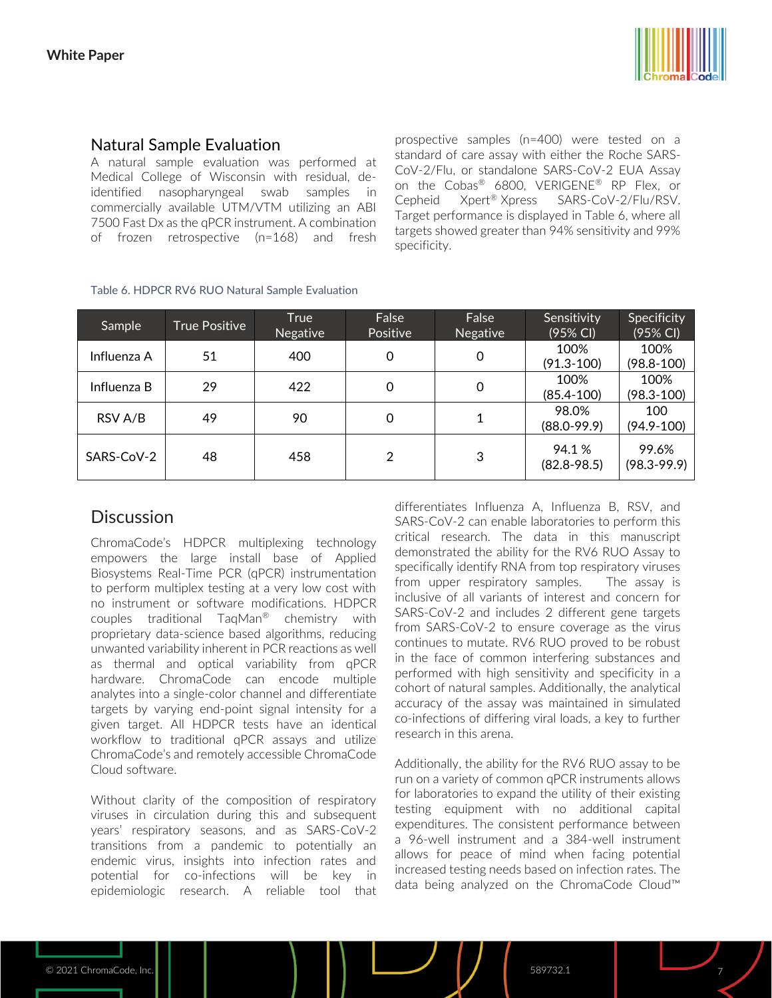

# Natural Sample Evaluation

A natural sample evaluation was performed at Medical College of Wisconsin with residual, deidentified nasopharyngeal swab samples in commercially available UTM/VTM utilizing an ABI 7500 Fast Dx as the qPCR instrument. A combination of frozen retrospective (n=168) and fresh prospective samples (n=400) were tested on a standard of care assay with either the Roche SARS-CoV-2/Flu, or standalone SARS-CoV-2 EUA Assay on the Cobas® 6800, VERIGENE® RP Flex, or Cepheid Xpert® Xpress SARS-CoV-2/Flu/RSV. Target performance is displayed in Table 6, where all targets showed greater than 94% sensitivity and 99% specificity.

| Sample      | True Positive | True<br><b>Negative</b> | False<br>Positive | False<br><b>Negative</b> | Sensitivity<br>(95% CI)   | Specificity<br>(95% CI)  |
|-------------|---------------|-------------------------|-------------------|--------------------------|---------------------------|--------------------------|
| Influenza A | 51            | 400                     | 0                 | 0                        | 100%<br>$(91.3 - 100)$    | 100%<br>$(98.8 - 100)$   |
| Influenza B | 29            | 422                     | 0                 | 0                        | 100%<br>$(85.4 - 100)$    | 100%<br>$(98.3 - 100)$   |
| RSV A/B     | 49            | 90                      | 0                 |                          | 98.0%<br>$(88.0 - 99.9)$  | 100<br>$(94.9 - 100)$    |
| SARS-CoV-2  | 48            | 458                     | 2                 | 3                        | 94.1 %<br>$(82.8 - 98.5)$ | 99.6%<br>$(98.3 - 99.9)$ |

#### Table 6. HDPCR RV6 RUO Natural Sample Evaluation

# **Discussion**

ChromaCode's HDPCR multiplexing technology empowers the large install base of Applied Biosystems Real-Time PCR (qPCR) instrumentation to perform multiplex testing at a very low cost with no instrument or software modifications. HDPCR couples traditional TaqMan® chemistry with proprietary data-science based algorithms, reducing unwanted variability inherent in PCR reactions as well as thermal and optical variability from qPCR hardware. ChromaCode can encode multiple analytes into a single-color channel and differentiate targets by varying end-point signal intensity for a given target. All HDPCR tests have an identical workflow to traditional qPCR assays and utilize ChromaCode's and remotely accessible ChromaCode Cloud software.

Without clarity of the composition of respiratory viruses in circulation during this and subsequent years' respiratory seasons, and as SARS-CoV-2 transitions from a pandemic to potentially an endemic virus, insights into infection rates and potential for co-infections will be key in epidemiologic research. A reliable tool that differentiates Influenza A, Influenza B, RSV, and SARS-CoV-2 can enable laboratories to perform this critical research. The data in this manuscript demonstrated the ability for the RV6 RUO Assay to specifically identify RNA from top respiratory viruses from upper respiratory samples. The assay is inclusive of all variants of interest and concern for SARS-CoV-2 and includes 2 different gene targets from SARS-CoV-2 to ensure coverage as the virus continues to mutate. RV6 RUO proved to be robust in the face of common interfering substances and performed with high sensitivity and specificity in a cohort of natural samples. Additionally, the analytical accuracy of the assay was maintained in simulated co-infections of differing viral loads, a key to further research in this arena.

Additionally, the ability for the RV6 RUO assay to be run on a variety of common qPCR instruments allows for laboratories to expand the utility of their existing testing equipment with no additional capital expenditures. The consistent performance between a 96-well instrument and a 384-well instrument allows for peace of mind when facing potential increased testing needs based on infection rates. The data being analyzed on the ChromaCode Cloud™